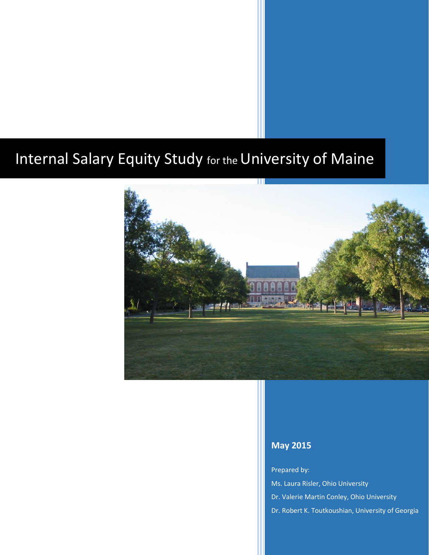## Internal Salary Equity Study for the University of Maine



#### **May 2015**

Prepared by: Ms. Laura Risler, Ohio University Dr. Valerie Martin Conley, Ohio University Dr. Robert K. Toutkoushian, University of Georgia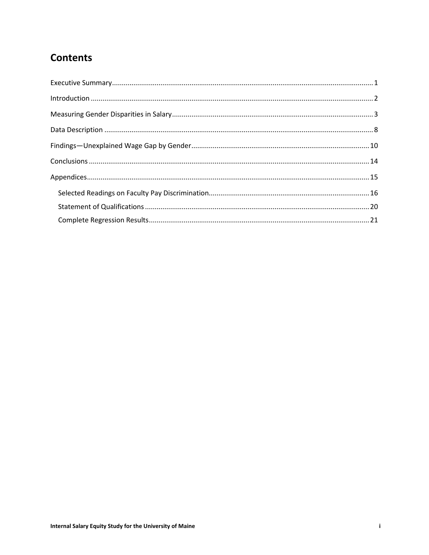## **Contents**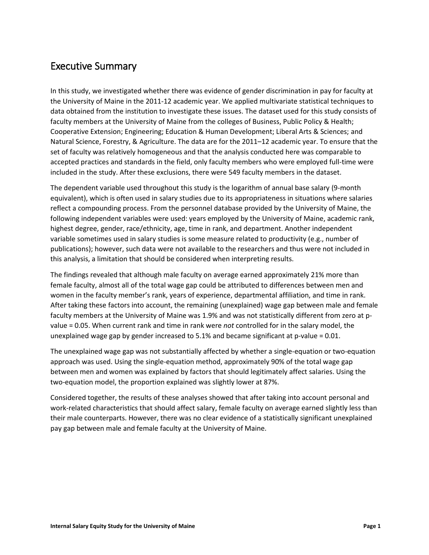#### <span id="page-2-0"></span>Executive Summary

In this study, we investigated whether there was evidence of gender discrimination in pay for faculty at the University of Maine in the 2011-12 academic year. We applied multivariate statistical techniques to data obtained from the institution to investigate these issues. The dataset used for this study consists of faculty members at the University of Maine from the colleges of Business, Public Policy & Health; Cooperative Extension; Engineering; Education & Human Development; Liberal Arts & Sciences; and Natural Science, Forestry, & Agriculture. The data are for the 2011–12 academic year. To ensure that the set of faculty was relatively homogeneous and that the analysis conducted here was comparable to accepted practices and standards in the field, only faculty members who were employed full-time were included in the study. After these exclusions, there were 549 faculty members in the dataset.

The dependent variable used throughout this study is the logarithm of annual base salary (9-month equivalent), which is often used in salary studies due to its appropriateness in situations where salaries reflect a compounding process. From the personnel database provided by the University of Maine, the following independent variables were used: years employed by the University of Maine, academic rank, highest degree, gender, race/ethnicity, age, time in rank, and department. Another independent variable sometimes used in salary studies is some measure related to productivity (e.g., number of publications); however, such data were not available to the researchers and thus were not included in this analysis, a limitation that should be considered when interpreting results.

The findings revealed that although male faculty on average earned approximately 21% more than female faculty, almost all of the total wage gap could be attributed to differences between men and women in the faculty member's rank, years of experience, departmental affiliation, and time in rank. After taking these factors into account, the remaining (unexplained) wage gap between male and female faculty members at the University of Maine was 1.9% and was not statistically different from zero at pvalue = 0.05. When current rank and time in rank were *not* controlled for in the salary model, the unexplained wage gap by gender increased to 5.1% and became significant at  $p$ -value = 0.01.

The unexplained wage gap was not substantially affected by whether a single-equation or two-equation approach was used. Using the single-equation method, approximately 90% of the total wage gap between men and women was explained by factors that should legitimately affect salaries. Using the two-equation model, the proportion explained was slightly lower at 87%.

Considered together, the results of these analyses showed that after taking into account personal and work-related characteristics that should affect salary, female faculty on average earned slightly less than their male counterparts. However, there was no clear evidence of a statistically significant unexplained pay gap between male and female faculty at the University of Maine.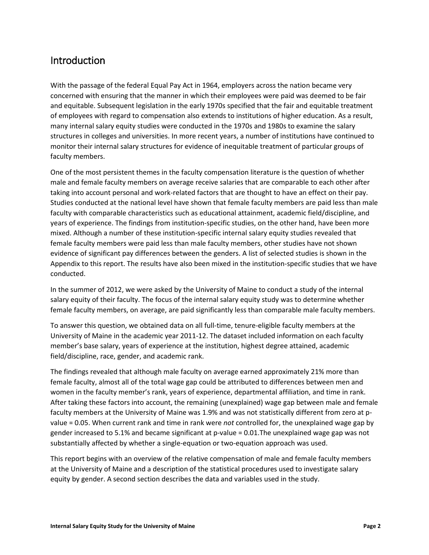#### <span id="page-3-0"></span>Introduction

With the passage of the federal Equal Pay Act in 1964, employers across the nation became very concerned with ensuring that the manner in which their employees were paid was deemed to be fair and equitable. Subsequent legislation in the early 1970s specified that the fair and equitable treatment of employees with regard to compensation also extends to institutions of higher education. As a result, many internal salary equity studies were conducted in the 1970s and 1980s to examine the salary structures in colleges and universities. In more recent years, a number of institutions have continued to monitor their internal salary structures for evidence of inequitable treatment of particular groups of faculty members.

One of the most persistent themes in the faculty compensation literature is the question of whether male and female faculty members on average receive salaries that are comparable to each other after taking into account personal and work-related factors that are thought to have an effect on their pay. Studies conducted at the national level have shown that female faculty members are paid less than male faculty with comparable characteristics such as educational attainment, academic field/discipline, and years of experience. The findings from institution-specific studies, on the other hand, have been more mixed. Although a number of these institution-specific internal salary equity studies revealed that female faculty members were paid less than male faculty members, other studies have not shown evidence of significant pay differences between the genders. A list of selected studies is shown in the Appendix to this report. The results have also been mixed in the institution-specific studies that we have conducted.

In the summer of 2012, we were asked by the University of Maine to conduct a study of the internal salary equity of their faculty. The focus of the internal salary equity study was to determine whether female faculty members, on average, are paid significantly less than comparable male faculty members.

To answer this question, we obtained data on all full-time, tenure-eligible faculty members at the University of Maine in the academic year 2011-12. The dataset included information on each faculty member's base salary, years of experience at the institution, highest degree attained, academic field/discipline, race, gender, and academic rank.

The findings revealed that although male faculty on average earned approximately 21% more than female faculty, almost all of the total wage gap could be attributed to differences between men and women in the faculty member's rank, years of experience, departmental affiliation, and time in rank. After taking these factors into account, the remaining (unexplained) wage gap between male and female faculty members at the University of Maine was 1.9% and was not statistically different from zero at pvalue = 0.05. When current rank and time in rank were *not* controlled for, the unexplained wage gap by gender increased to 5.1% and became significant at p-value = 0.01.The unexplained wage gap was not substantially affected by whether a single-equation or two-equation approach was used.

This report begins with an overview of the relative compensation of male and female faculty members at the University of Maine and a description of the statistical procedures used to investigate salary equity by gender. A second section describes the data and variables used in the study.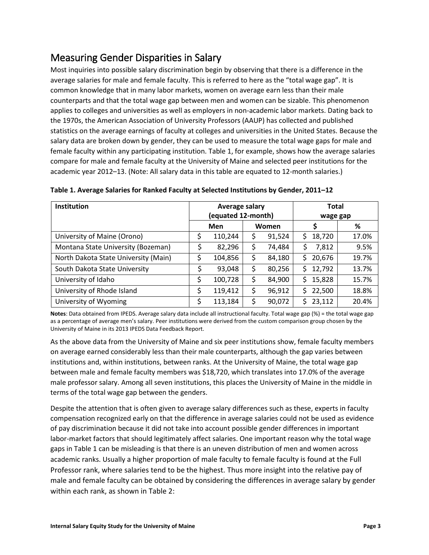## <span id="page-4-0"></span>Measuring Gender Disparities in Salary

Most inquiries into possible salary discrimination begin by observing that there is a difference in the average salaries for male and female faculty. This is referred to here as the "total wage gap". It is common knowledge that in many labor markets, women on average earn less than their male counterparts and that the total wage gap between men and women can be sizable. This phenomenon applies to colleges and universities as well as employers in non-academic labor markets. Dating back to the 1970s, the American Association of University Professors (AAUP) has collected and published statistics on the average earnings of faculty at colleges and universities in the United States. Because the salary data are broken down by gender, they can be used to measure the total wage gaps for male and female faculty within any participating institution. Table 1, for example, shows how the average salaries compare for male and female faculty at the University of Maine and selected peer institutions for the academic year 2012–13. (Note: All salary data in this table are equated to 12-month salaries.)

| <b>Institution</b>                   | Average salary |         |                    | <b>Total</b> |     |          |       |
|--------------------------------------|----------------|---------|--------------------|--------------|-----|----------|-------|
|                                      |                |         | (equated 12-month) |              |     | wage gap |       |
|                                      | Men            |         | Women              |              |     |          | %     |
| University of Maine (Orono)          | \$             | 110,244 | \$                 | 91,524       | S.  | 18,720   | 17.0% |
| Montana State University (Bozeman)   |                | 82,296  | \$                 | 74,484       | \$. | 7,812    | 9.5%  |
| North Dakota State University (Main) | \$             | 104,856 | \$                 | 84,180       | S.  | 20,676   | 19.7% |
| South Dakota State University        | \$             | 93,048  | \$                 | 80,256       | S.  | 12,792   | 13.7% |
| University of Idaho                  | \$             | 100,728 | \$                 | 84,900       | S.  | 15,828   | 15.7% |
| University of Rhode Island           | \$             | 119,412 | \$                 | 96,912       |     | \$22,500 | 18.8% |
| University of Wyoming                | \$             | 113,184 | \$                 | 90,072       |     | \$23,112 | 20.4% |

<span id="page-4-1"></span>**Table 1. Average Salaries for Ranked Faculty at Selected Institutions by Gender, 2011–12**

**Notes**: Data obtained from IPEDS. Average salary data include all instructional faculty. Total wage gap (%) = the total wage gap as a percentage of average men's salary. Peer institutions were derived from the custom comparison group chosen by the University of Maine in its 2013 IPEDS Data Feedback Report.

As the above data from the University of Maine and six peer institutions show, female faculty members on average earned considerably less than their male counterparts, although the gap varies between institutions and, within institutions, between ranks. At the University of Maine, the total wage gap between male and female faculty members was \$18,720, which translates into 17.0% of the average male professor salary. Among all seven institutions, this places the University of Maine in the middle in terms of the total wage gap between the genders.

Despite the attention that is often given to average salary differences such as these, experts in faculty compensation recognized early on that the difference in average salaries could not be used as evidence of pay discrimination because it did not take into account possible gender differences in important labor-market factors that should legitimately affect salaries. One important reason why the total wage gaps in Table 1 can be misleading is that there is an uneven distribution of men and women across academic ranks. Usually a higher proportion of male faculty to female faculty is found at the Full Professor rank, where salaries tend to be the highest. Thus more insight into the relative pay of male and female faculty can be obtained by considering the differences in average salary by gender within each rank, as shown in Table 2: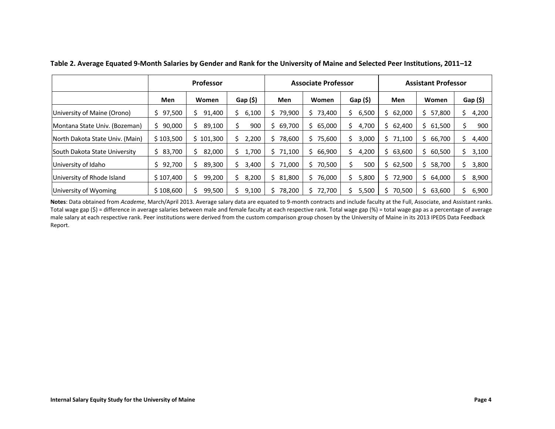|                                 | <b>Professor</b> |           | <b>Associate Professor</b> |             |              | <b>Assistant Professor</b> |              |              |        |
|---------------------------------|------------------|-----------|----------------------------|-------------|--------------|----------------------------|--------------|--------------|--------|
|                                 | <b>Men</b>       | Women     | Gap(5)                     | <b>Men</b>  | Women        | Gap(5)                     | Men          | Women        | Gap(5) |
| University of Maine (Orono)     | 97,500<br>Ś.     | 91,400    | 6,100                      | 79,900      | 73,400<br>S. | 6,500                      | \$62,000     | 57,800<br>Ś. | 4,200  |
| Montana State Univ. (Bozeman)   | 90,000<br>S.     | 89,100    | 900                        | 69,700      | 65,000<br>Ś. | 4,700                      | \$62,400     | 61,500<br>Ś. | 900    |
| North Dakota State Univ. (Main) | \$103,500        | \$101,300 | 2,200                      | 78,600      | 75,600<br>Ś. | 3,000                      | \$71,100     | 66,700<br>Ś. | 4,400  |
| South Dakota State University   | \$83,700         | 82,000    | 1,700<br>S                 | 71,100<br>S | 66,900<br>S  | 4,200                      | 63,600       | 60,500<br>ς  | 3,100  |
| University of Idaho             | 92,700<br>S.     | 89,300    | 3,400<br>S                 | 71,000      | 70,500<br>S  | 500                        | 62,500       | 58,700<br>S. | 3,800  |
| University of Rhode Island      | \$107,400        | 99,200    | 8,200                      | 81,800      | 76,000<br>S  | 5,800                      | \$72,900     | 64,000<br>S. | 8,900  |
| University of Wyoming           | \$108,600        | 99,500    | 9,100                      | 78,200      | 72,700       | 5,500                      | 70,500<br>S. | 63,600<br>Ś. | 6,900  |

**Table 2. Average Equated 9-Month Salaries by Gender and Rank for the University of Maine and Selected Peer Institutions, 2011–12**

<span id="page-5-0"></span>**Notes**: Data obtained from *Academe*, March/April 2013. Average salary data are equated to 9-month contracts and include faculty at the Full, Associate, and Assistant ranks. Total wage gap (\$) = difference in average salaries between male and female faculty at each respective rank. Total wage gap (%) = total wage gap as a percentage of average male salary at each respective rank. Peer institutions were derived from the custom comparison group chosen by the University of Maine in its 2013 IPEDS Data Feedback Report.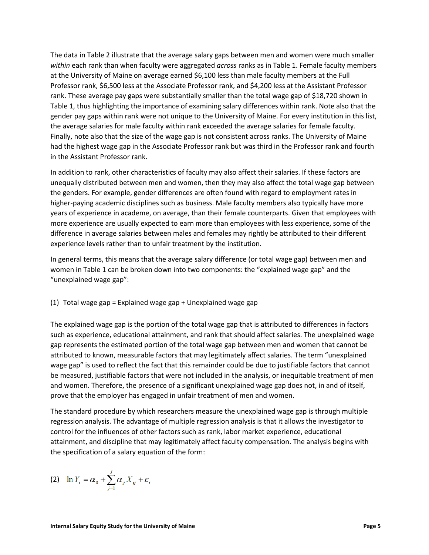The data i[n Table 2](#page-5-0) illustrate that the average salary gaps between men and women were much smaller *within* each rank than when faculty were aggregated *across* ranks as in Table 1. Female faculty members at the University of Maine on average earned \$6,100 less than male faculty members at the Full Professor rank, \$6,500 less at the Associate Professor rank, and \$4,200 less at the Assistant Professor rank. These average pay gaps were substantially smaller than the total wage gap of \$18,720 shown in [Table 1,](#page-4-1) thus highlighting the importance of examining salary differences within rank. Note also that the gender pay gaps within rank were not unique to the University of Maine. For every institution in this list, the average salaries for male faculty within rank exceeded the average salaries for female faculty. Finally, note also that the size of the wage gap is not consistent across ranks. The University of Maine had the highest wage gap in the Associate Professor rank but was third in the Professor rank and fourth in the Assistant Professor rank.

In addition to rank, other characteristics of faculty may also affect their salaries. If these factors are unequally distributed between men and women, then they may also affect the total wage gap between the genders. For example, gender differences are often found with regard to employment rates in higher-paying academic disciplines such as business. Male faculty members also typically have more years of experience in academe, on average, than their female counterparts. Given that employees with more experience are usually expected to earn more than employees with less experience, some of the difference in average salaries between males and females may rightly be attributed to their different experience levels rather than to unfair treatment by the institution.

In general terms, this means that the average salary difference (or total wage gap) between men and women in Table 1 can be broken down into two components: the "explained wage gap" and the "unexplained wage gap":

#### (1) Total wage gap = Explained wage gap + Unexplained wage gap

The explained wage gap is the portion of the total wage gap that is attributed to differences in factors such as experience, educational attainment, and rank that should affect salaries. The unexplained wage gap represents the estimated portion of the total wage gap between men and women that cannot be attributed to known, measurable factors that may legitimately affect salaries. The term "unexplained wage gap" is used to reflect the fact that this remainder could be due to justifiable factors that cannot be measured, justifiable factors that were not included in the analysis, or inequitable treatment of men and women. Therefore, the presence of a significant unexplained wage gap does not, in and of itself, prove that the employer has engaged in unfair treatment of men and women.

The standard procedure by which researchers measure the unexplained wage gap is through multiple regression analysis. The advantage of multiple regression analysis is that it allows the investigator to control for the influences of other factors such as rank, labor market experience, educational attainment, and discipline that may legitimately affect faculty compensation. The analysis begins with the specification of a salary equation of the form:

$$
(2) \quad \ln Y_i = \alpha_0 + \sum_{j=1}^J \alpha_j X_{ij} + \varepsilon_i
$$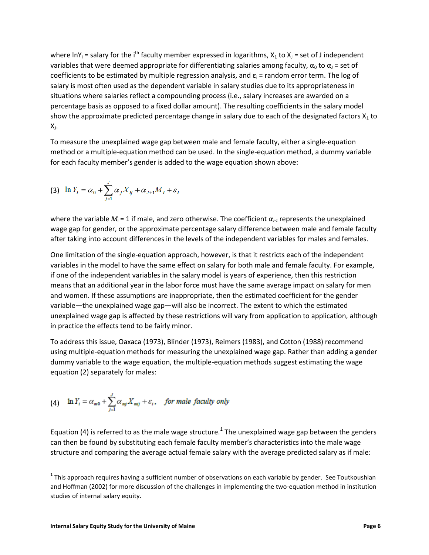where  $\ln Y_i$  = salary for the i<sup>th</sup> faculty member expressed in logarithms,  $X_1$  to  $X_1$  = set of J independent variables that were deemed appropriate for differentiating salaries among faculty,  $\alpha_0$  to  $\alpha_1$  = set of coefficients to be estimated by multiple regression analysis, and  $\varepsilon_i$  = random error term. The log of salary is most often used as the dependent variable in salary studies due to its appropriateness in situations where salaries reflect a compounding process (i.e., salary increases are awarded on a percentage basis as opposed to a fixed dollar amount). The resulting coefficients in the salary model show the approximate predicted percentage change in salary due to each of the designated factors  $X_1$  to X,

To measure the unexplained wage gap between male and female faculty, either a single-equation method or a multiple-equation method can be used. In the single-equation method, a dummy variable for each faculty member's gender is added to the wage equation shown above:

(3) 
$$
\ln Y_i = \alpha_0 + \sum_{j=1}^{J} \alpha_j X_{ij} + \alpha_{J+1} M_i + \varepsilon_i
$$

where the variable  $M_i = 1$  if male, and zero otherwise. The coefficient  $\alpha_{i+1}$  represents the unexplained wage gap for gender, or the approximate percentage salary difference between male and female faculty after taking into account differences in the levels of the independent variables for males and females.

One limitation of the single-equation approach, however, is that it restricts each of the independent variables in the model to have the same effect on salary for both male and female faculty. For example, if one of the independent variables in the salary model is years of experience, then this restriction means that an additional year in the labor force must have the same average impact on salary for men and women. If these assumptions are inappropriate, then the estimated coefficient for the gender variable—the unexplained wage gap—will also be incorrect. The extent to which the estimated unexplained wage gap is affected by these restrictions will vary from application to application, although in practice the effects tend to be fairly minor.

To address this issue, Oaxaca (1973), Blinder (1973), Reimers (1983), and Cotton (1988) recommend using multiple-equation methods for measuring the unexplained wage gap. Rather than adding a gender dummy variable to the wage equation, the multiple-equation methods suggest estimating the wage equation (2) separately for males:

(4) 
$$
\ln Y_i = \alpha_{m0} + \sum_{j=1}^{J} \alpha_{mj} X_{mj} + \varepsilon_i
$$
, for male faculty only

Equation (4) is referred to as the male wage structure.<sup>1</sup> The unexplained wage gap between the genders can then be found by substituting each female faculty member's characteristics into the male wage structure and comparing the average actual female salary with the average predicted salary as if male:

 $\overline{\phantom{a}}$ 

 $^1$  This approach requires having a sufficient number of observations on each variable by gender. See Toutkoushian and Hoffman (2002) for more discussion of the challenges in implementing the two-equation method in institution studies of internal salary equity.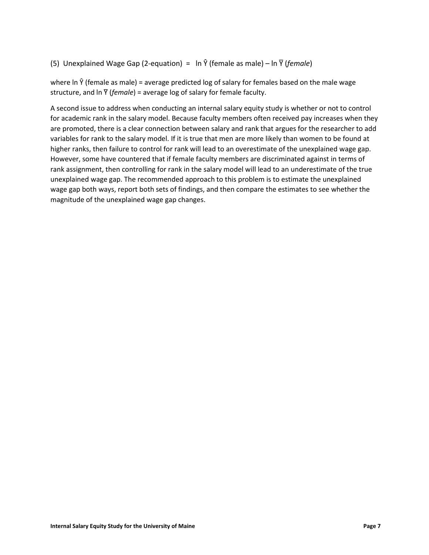(5) Unexplained Wage Gap (2-equation) =  $\ln \hat{Y}$  (female as male) –  $\ln \overline{Y}$  (*female*)

where In  $\hat{Y}$  (female as male) = average predicted log of salary for females based on the male wage structure, and  $\ln \overline{Y}$  (*female*) = average log of salary for female faculty.

A second issue to address when conducting an internal salary equity study is whether or not to control for academic rank in the salary model. Because faculty members often received pay increases when they are promoted, there is a clear connection between salary and rank that argues for the researcher to add variables for rank to the salary model. If it is true that men are more likely than women to be found at higher ranks, then failure to control for rank will lead to an overestimate of the unexplained wage gap. However, some have countered that if female faculty members are discriminated against in terms of rank assignment, then controlling for rank in the salary model will lead to an underestimate of the true unexplained wage gap. The recommended approach to this problem is to estimate the unexplained wage gap both ways, report both sets of findings, and then compare the estimates to see whether the magnitude of the unexplained wage gap changes.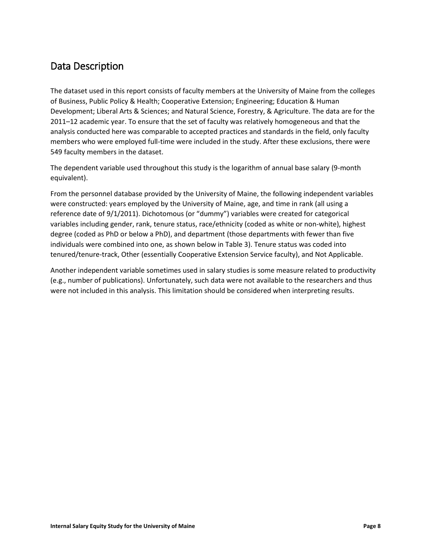#### <span id="page-9-0"></span>Data Description

The dataset used in this report consists of faculty members at the University of Maine from the colleges of Business, Public Policy & Health; Cooperative Extension; Engineering; Education & Human Development; Liberal Arts & Sciences; and Natural Science, Forestry, & Agriculture. The data are for the 2011–12 academic year. To ensure that the set of faculty was relatively homogeneous and that the analysis conducted here was comparable to accepted practices and standards in the field, only faculty members who were employed full-time were included in the study. After these exclusions, there were 549 faculty members in the dataset.

The dependent variable used throughout this study is the logarithm of annual base salary (9-month equivalent).

From the personnel database provided by the University of Maine, the following independent variables were constructed: years employed by the University of Maine, age, and time in rank (all using a reference date of 9/1/2011). Dichotomous (or "dummy") variables were created for categorical variables including gender, rank, tenure status, race/ethnicity (coded as white or non-white), highest degree (coded as PhD or below a PhD), and department (those departments with fewer than five individuals were combined into one, as shown [below](#page-10-0) in [Table 3\)](#page-10-0). Tenure status was coded into tenured/tenure-track, Other (essentially Cooperative Extension Service faculty), and Not Applicable.

Another independent variable sometimes used in salary studies is some measure related to productivity (e.g., number of publications). Unfortunately, such data were not available to the researchers and thus were not included in this analysis. This limitation should be considered when interpreting results.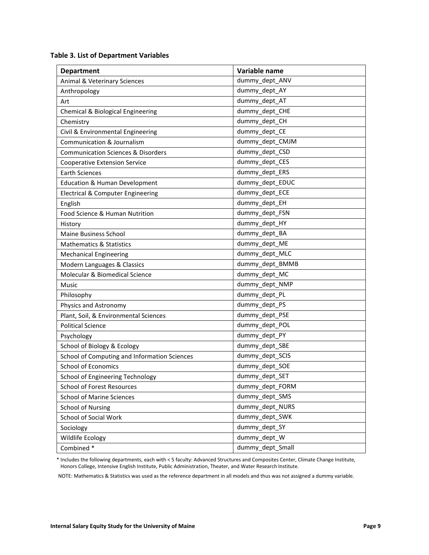<span id="page-10-0"></span>

| <b>Department</b>                             | Variable name    |
|-----------------------------------------------|------------------|
| Animal & Veterinary Sciences                  | dummy_dept_ANV   |
| Anthropology                                  | dummy_dept_AY    |
| Art                                           | dummy dept AT    |
| Chemical & Biological Engineering             | dummy_dept_CHE   |
| Chemistry                                     | dummy_dept_CH    |
| Civil & Environmental Engineering             | dummy_dept_CE    |
| <b>Communication &amp; Journalism</b>         | dummy_dept_CMJM  |
| <b>Communication Sciences &amp; Disorders</b> | dummy_dept_CSD   |
| <b>Cooperative Extension Service</b>          | dummy_dept_CES   |
| <b>Earth Sciences</b>                         | dummy_dept_ERS   |
| <b>Education &amp; Human Development</b>      | dummy_dept_EDUC  |
| <b>Electrical &amp; Computer Engineering</b>  | dummy_dept_ECE   |
| English                                       | dummy_dept_EH    |
| Food Science & Human Nutrition                | dummy_dept_FSN   |
| History                                       | dummy_dept_HY    |
| <b>Maine Business School</b>                  | dummy_dept_BA    |
| <b>Mathematics &amp; Statistics</b>           | dummy_dept_ME    |
| <b>Mechanical Engineering</b>                 | dummy_dept_MLC   |
| Modern Languages & Classics                   | dummy dept BMMB  |
| Molecular & Biomedical Science                | dummy_dept_MC    |
| Music                                         | dummy_dept_NMP   |
| Philosophy                                    | dummy_dept_PL    |
| Physics and Astronomy                         | dummy_dept_PS    |
| Plant, Soil, & Environmental Sciences         | dummy_dept_PSE   |
| <b>Political Science</b>                      | dummy_dept_POL   |
| Psychology                                    | dummy_dept_PY    |
| School of Biology & Ecology                   | dummy_dept_SBE   |
| School of Computing and Information Sciences  | dummy_dept_SCIS  |
| <b>School of Economics</b>                    | dummy_dept_SOE   |
| School of Engineering Technology              | dummy_dept_SET   |
| School of Forest Resources                    | dummy_dept_FORM  |
| <b>School of Marine Sciences</b>              | dummy_dept_SMS   |
| <b>School of Nursing</b>                      | dummy dept NURS  |
| School of Social Work                         | dummy_dept_SWK   |
| Sociology                                     | dummy_dept_SY    |
| Wildlife Ecology                              | dummy dept W     |
| Combined*                                     | dummy dept Small |

\* Includes the following departments, each with < 5 faculty: Advanced Structures and Composites Center, Climate Change Institute, Honors College, Intensive English Institute, Public Administration, Theater, and Water Research Institute.

NOTE: Mathematics & Statistics was used as the reference department in all models and thus was not assigned a dummy variable.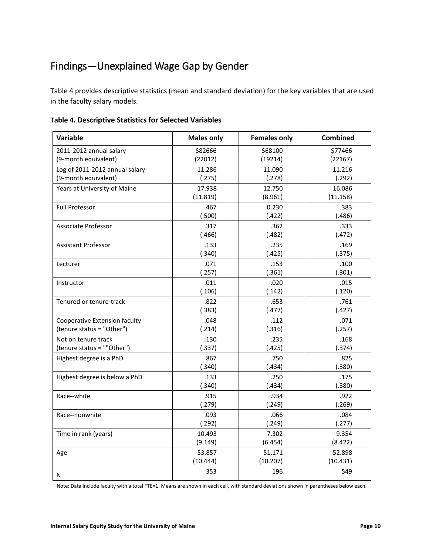## <span id="page-11-0"></span>Findings—Unexplained Wage Gap by Gender

[Table 4](#page-11-1) provides descriptive statistics (mean and standard deviation) for the key variables that are used in the faculty salary models.

| Variable                       | <b>Males only</b> | <b>Females only</b> | <b>Combined</b> |
|--------------------------------|-------------------|---------------------|-----------------|
| 2011-2012 annual salary        | \$82666           | \$68100             | \$77466         |
| (9-month equivalent)           | (22012)           | (19214)             | (22167)         |
| Log of 2011-2012 annual salary | 11.286            | 11.090              | 11.216          |
| (9-month equivalent)           | (.275)            | (.278)              | (.292)          |
| Years at University of Maine   | 17.938            | 12.750              | 16.086          |
|                                | (11.819)          | (8.961)             | (11.158)        |
| <b>Full Professor</b>          | .467              | 0.230               | .383            |
|                                | (.500)            | (.422)              | (.486)          |
| Associate Professor            | .317              | .362                | .333            |
|                                | (.466)            | (.482)              | (.472)          |
| <b>Assistant Professor</b>     | .133              | .235                | .169            |
|                                | (.340)            | (.425)              | (.375)          |
| Lecturer                       | .071              | .153                | .100            |
|                                | (.257)            | (.361)              | (.301)          |
| Instructor                     | .011              | .020                | .015            |
|                                | (.106)            | (.142)              | (.120)          |
| Tenured or tenure-track        | .822              | .653                | .761            |
|                                | (.383)            | (.477)              | (.427)          |
| Cooperative Extension faculty  | .048              | .112                | .071            |
| (tenure status = "Other")      | (.214)            | (.316)              | (.257)          |
| Not on tenure track            | .130              | .235                | .168            |
| (tenure status = ""Other")     | (.337)            | (.425)              | (.374)          |
| Highest degree is a PhD        | .867              | .750                | .825            |
|                                | (.340)            | (.434)              | (.380)          |
| Highest degree is below a PhD  | .133              | .250                | .175            |
|                                | (.340)            | (.434)              | (.380)          |
| Race--white                    | .915              | .934                | .922            |
|                                | (.279)            | (.249)              | (.269)          |
| Race--nonwhite                 | .093              | .066                | .084            |
|                                | (.292)            | (.249)              | (.277)          |
| Time in rank (years)           | 10.493            | 7.302               | 9.354           |
|                                | (9.149)           | (6.454)             | (8.422)         |
| Age                            | 53.857            | 51.171              | 52.898          |
|                                | (10.444)          | (10.207)            | (10.431)        |
| Ν                              | 353               | 196                 | 549             |

<span id="page-11-1"></span>**Table 4. Descriptive Statistics for Selected Variables**

Note: Data include faculty with a total FTE=1. Means are shown in each cell, with standard deviations shown in parentheses below each.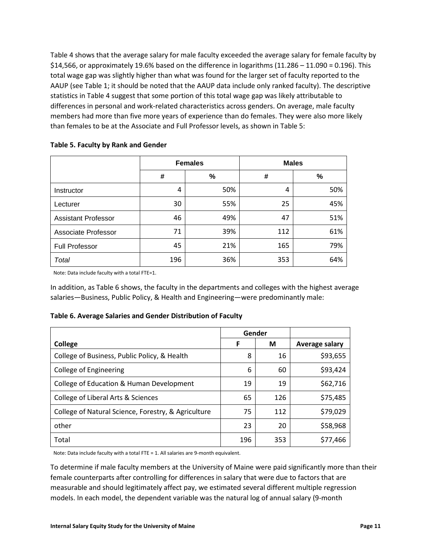[Table 4](#page-11-1) shows that the average salary for male faculty exceeded the average salary for female faculty by \$14,566, or approximately 19.6% based on the difference in logarithms (11.286 – 11.090 = 0.196). This total wage gap was slightly higher than what was found for the larger set of faculty reported to the AAUP (see Table 1; it should be noted that the AAUP data include only ranked faculty). The descriptive statistics in Table 4 suggest that some portion of this total wage gap was likely attributable to differences in personal and work-related characteristics across genders. On average, male faculty members had more than five more years of experience than do females. They were also more likely than females to be at the Associate and Full Professor levels, as shown in [Table 5:](#page-12-0)

|                            | <b>Females</b> |      |     | <b>Males</b> |
|----------------------------|----------------|------|-----|--------------|
|                            | #              | $\%$ | #   | $\%$         |
| Instructor                 | 4              | 50%  | 4   | 50%          |
| Lecturer                   | 30             | 55%  | 25  | 45%          |
| <b>Assistant Professor</b> | 46             | 49%  | 47  | 51%          |
| <b>Associate Professor</b> | 71             | 39%  | 112 | 61%          |
| <b>Full Professor</b>      | 45             | 21%  | 165 | 79%          |
| Total                      | 196            | 36%  | 353 | 64%          |

#### <span id="page-12-0"></span>**Table 5. Faculty by Rank and Gender**

Note: Data include faculty with a total FTE=1.

In addition, a[s Table 6](#page-12-1) shows, the faculty in the departments and colleges with the highest average salaries—Business, Public Policy, & Health and Engineering—were predominantly male:

#### <span id="page-12-1"></span>**Table 6. Average Salaries and Gender Distribution of Faculty**

|                                                     | Gender |     |                |
|-----------------------------------------------------|--------|-----|----------------|
| <b>College</b>                                      | F      | М   | Average salary |
| College of Business, Public Policy, & Health        | 8      | 16  | \$93,655       |
| <b>College of Engineering</b>                       | 6      | 60  | \$93,424       |
| College of Education & Human Development            | 19     | 19  | \$62,716       |
| College of Liberal Arts & Sciences                  | 65     | 126 | \$75,485       |
| College of Natural Science, Forestry, & Agriculture | 75     | 112 | \$79,029       |
| other                                               | 23     | 20  | \$58,968       |
| Total                                               | 196    | 353 | \$77,466       |

Note: Data include faculty with a total FTE = 1. All salaries are 9-month equivalent.

To determine if male faculty members at the University of Maine were paid significantly more than their female counterparts after controlling for differences in salary that were due to factors that are measurable and should legitimately affect pay, we estimated several different multiple regression models. In each model, the dependent variable was the natural log of annual salary (9-month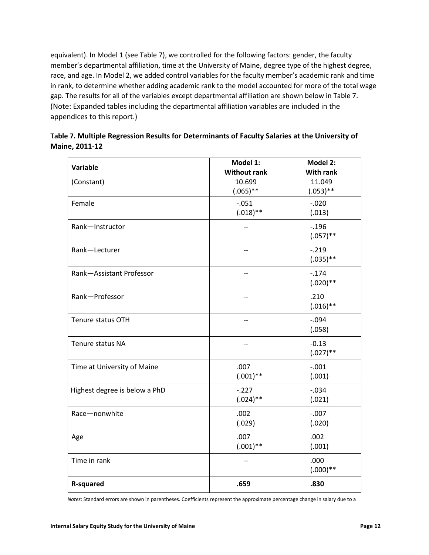equivalent). In Model 1 (see [Table 7\)](#page-13-0), we controlled for the following factors: gender, the faculty member's departmental affiliation, time at the University of Maine, degree type of the highest degree, race, and age. In Model 2, we added control variables for the faculty member's academic rank and time in rank, to determine whether adding academic rank to the model accounted for more of the total wage gap. The results for all of the variables except departmental affiliation are shown [below](#page-13-0) in [Table 7.](#page-13-0) (Note: Expanded tables including the departmental affiliation variables are included in the appendices to this report.)

| <b>Variable</b>               | Model 1:            | Model 2:         |
|-------------------------------|---------------------|------------------|
|                               | <b>Without rank</b> | <b>With rank</b> |
| (Constant)                    | 10.699              | 11.049           |
|                               | $(.065)$ **         | $(.053)$ **      |
| Female                        | $-.051$             | $-.020$          |
|                               | $(.018)$ **         | (.013)           |
| Rank-Instructor               | $-$                 | $-0.196$         |
|                               |                     | $(.057)$ **      |
| Rank-Lecturer                 | $-$                 | $-.219$          |
|                               |                     | $(.035)$ **      |
| Rank-Assistant Professor      | $-$                 | $-.174$          |
|                               |                     | $(.020)$ **      |
| Rank-Professor                | --                  | .210             |
|                               |                     | $(.016)$ **      |
| Tenure status OTH             | --                  | $-.094$          |
|                               |                     | (.058)           |
| Tenure status NA              | --                  | $-0.13$          |
|                               |                     | $(.027)$ **      |
| Time at University of Maine   | .007                | $-.001$          |
|                               | $(.001)$ **         | (.001)           |
| Highest degree is below a PhD | $-.227$             | $-.034$          |
|                               | $(.024)$ **         | (.021)           |
| Race-nonwhite                 | .002                | $-.007$          |
|                               | (.029)              | (.020)           |
| Age                           | .007                | .002             |
|                               | $(.001)$ **         | (.001)           |
| Time in rank                  | $-$                 | .000             |
|                               |                     | $(.000)**$       |
| <b>R-squared</b>              | .659                | .830             |

<span id="page-13-0"></span>

| Table 7. Multiple Regression Results for Determinants of Faculty Salaries at the University of |  |
|------------------------------------------------------------------------------------------------|--|
| Maine, 2011-12                                                                                 |  |

*Notes*: Standard errors are shown in parentheses. Coefficients represent the approximate percentage change in salary due to a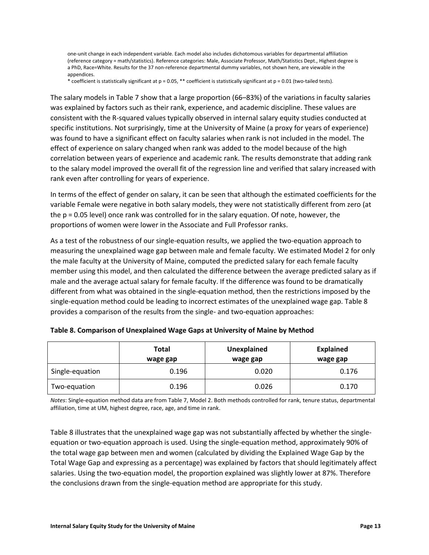one-unit change in each independent variable. Each model also includes dichotomous variables for departmental affiliation (reference category = math/statistics). Reference categories: Male, Associate Professor, Math/Statistics Dept., Highest degree is a PhD, Race=White. Results for the 37 non-reference departmental dummy variables, not shown here, are viewable in the appendices.

\* coefficient is statistically significant at p = 0.05, \*\* coefficient is statistically significant at p = 0.01 (two-tailed tests).

The salary models i[n Table 7](#page-13-0) show that a large proportion (66–83%) of the variations in faculty salaries was explained by factors such as their rank, experience, and academic discipline. These values are consistent with the R-squared values typically observed in internal salary equity studies conducted at specific institutions. Not surprisingly, time at the University of Maine (a proxy for years of experience) was found to have a significant effect on faculty salaries when rank is not included in the model. The effect of experience on salary changed when rank was added to the model because of the high correlation between years of experience and academic rank. The results demonstrate that adding rank to the salary model improved the overall fit of the regression line and verified that salary increased with rank even after controlling for years of experience.

In terms of the effect of gender on salary, it can be seen that although the estimated coefficients for the variable Female were negative in both salary models, they were not statistically different from zero (at the p = 0.05 level) once rank was controlled for in the salary equation. Of note, however, the proportions of women were lower in the Associate and Full Professor ranks.

As a test of the robustness of our single-equation results, we applied the two-equation approach to measuring the unexplained wage gap between male and female faculty. We estimated Model 2 for only the male faculty at the University of Maine, computed the predicted salary for each female faculty member using this model, and then calculated the difference between the average predicted salary as if male and the average actual salary for female faculty. If the difference was found to be dramatically different from what was obtained in the single-equation method, then the restrictions imposed by the single-equation method could be leading to incorrect estimates of the unexplained wage gap. [Table 8](#page-14-0) provides a comparison of the results from the single- and two-equation approaches:

|                 | Total<br>wage gap | Unexplained<br>wage gap | <b>Explained</b><br>wage gap |
|-----------------|-------------------|-------------------------|------------------------------|
| Single-equation | 0.196             | 0.020                   | 0.176                        |
| Two-equation    | 0.196             | 0.026                   | 0.170                        |

<span id="page-14-0"></span>

*Notes*: Single-equation method data are fro[m Table 7,](#page-13-0) Model 2. Both methods controlled for rank, tenure status, departmental affiliation, time at UM, highest degree, race, age, and time in rank.

[Table 8](#page-14-0) illustrates that the unexplained wage gap was not substantially affected by whether the singleequation or two-equation approach is used. Using the single-equation method, approximately 90% of the total wage gap between men and women (calculated by dividing the Explained Wage Gap by the Total Wage Gap and expressing as a percentage) was explained by factors that should legitimately affect salaries. Using the two-equation model, the proportion explained was slightly lower at 87%. Therefore the conclusions drawn from the single-equation method are appropriate for this study.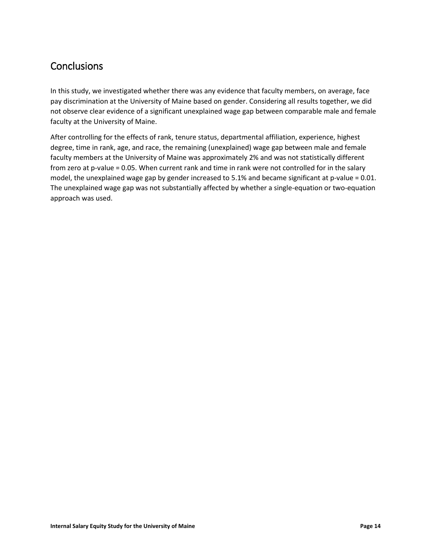#### <span id="page-15-0"></span>**Conclusions**

In this study, we investigated whether there was any evidence that faculty members, on average, face pay discrimination at the University of Maine based on gender. Considering all results together, we did not observe clear evidence of a significant unexplained wage gap between comparable male and female faculty at the University of Maine.

After controlling for the effects of rank, tenure status, departmental affiliation, experience, highest degree, time in rank, age, and race, the remaining (unexplained) wage gap between male and female faculty members at the University of Maine was approximately 2% and was not statistically different from zero at p-value = 0.05. When current rank and time in rank were not controlled for in the salary model, the unexplained wage gap by gender increased to 5.1% and became significant at p-value = 0.01. The unexplained wage gap was not substantially affected by whether a single-equation or two-equation approach was used.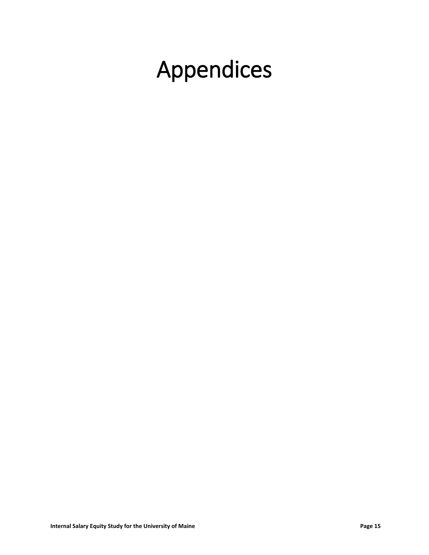# <span id="page-16-0"></span>Appendices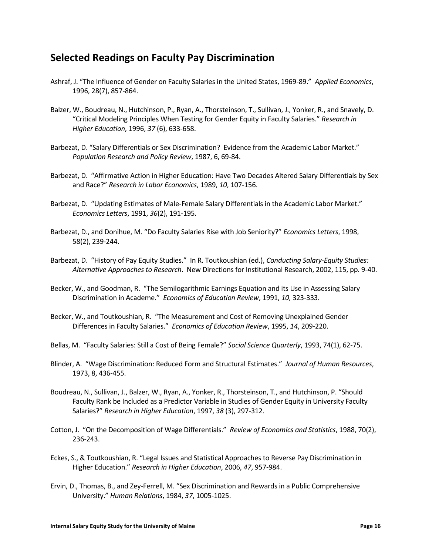#### <span id="page-17-0"></span>**Selected Readings on Faculty Pay Discrimination**

- Ashraf, J. "The Influence of Gender on Faculty Salaries in the United States, 1969-89." *Applied Economics*, 1996, 28(7), 857-864.
- Balzer, W., Boudreau, N., Hutchinson, P., Ryan, A., Thorsteinson, T., Sullivan, J., Yonker, R., and Snavely, D. "Critical Modeling Principles When Testing for Gender Equity in Faculty Salaries." *Research in Higher Education*, 1996, *37* (6), 633-658.
- Barbezat, D. "Salary Differentials or Sex Discrimination? Evidence from the Academic Labor Market." *Population Research and Policy Review*, 1987, 6, 69-84.
- Barbezat, D. "Affirmative Action in Higher Education: Have Two Decades Altered Salary Differentials by Sex and Race?" *Research in Labor Economics*, 1989, *10*, 107-156.
- Barbezat, D. "Updating Estimates of Male-Female Salary Differentials in the Academic Labor Market." *Economics Letters*, 1991, *36*(2), 191-195.
- Barbezat, D., and Donihue, M. "Do Faculty Salaries Rise with Job Seniority?" *Economics Letters*, 1998, 58(2), 239-244.
- Barbezat, D. "History of Pay Equity Studies." In R. Toutkoushian (ed.), *Conducting Salary-Equity Studies: Alternative Approaches to Research*. New Directions for Institutional Research, 2002, 115, pp. 9-40.
- Becker, W., and Goodman, R. "The Semilogarithmic Earnings Equation and its Use in Assessing Salary Discrimination in Academe." *Economics of Education Review*, 1991, *10*, 323-333.
- Becker, W., and Toutkoushian, R. "The Measurement and Cost of Removing Unexplained Gender Differences in Faculty Salaries." *Economics of Education Review*, 1995, *14*, 209-220.
- Bellas, M. "Faculty Salaries: Still a Cost of Being Female?" *Social Science Quarterly*, 1993, 74(1), 62-75.
- Blinder, A. "Wage Discrimination: Reduced Form and Structural Estimates." *Journal of Human Resources*, 1973, 8, 436-455.
- Boudreau, N., Sullivan, J., Balzer, W., Ryan, A., Yonker, R., Thorsteinson, T., and Hutchinson, P. "Should Faculty Rank be Included as a Predictor Variable in Studies of Gender Equity in University Faculty Salaries?" *Research in Higher Education*, 1997, *38* (3), 297-312.
- Cotton, J. "On the Decomposition of Wage Differentials." *Review of Economics and Statistics*, 1988, 70(2), 236-243.
- Eckes, S., & Toutkoushian, R. "Legal Issues and Statistical Approaches to Reverse Pay Discrimination in Higher Education." *Research in Higher Education*, 2006, *47*, 957-984.
- Ervin, D., Thomas, B., and Zey-Ferrell, M. "Sex Discrimination and Rewards in a Public Comprehensive University." *Human Relations*, 1984, *37*, 1005-1025.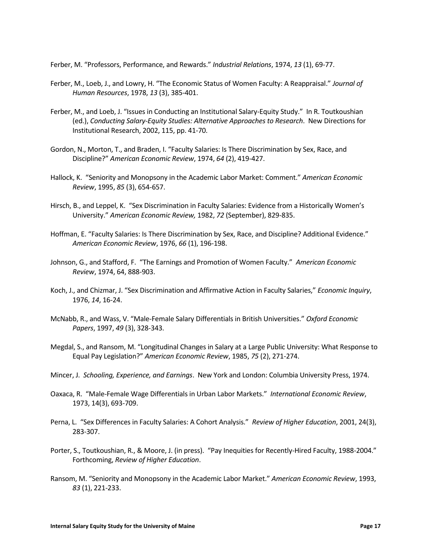Ferber, M. "Professors, Performance, and Rewards." *Industrial Relations*, 1974, *13* (1), 69-77.

- Ferber, M., Loeb, J., and Lowry, H. "The Economic Status of Women Faculty: A Reappraisal." *Journal of Human Resources*, 1978, *13* (3), 385-401.
- Ferber, M., and Loeb, J. "Issues in Conducting an Institutional Salary-Equity Study." In R. Toutkoushian (ed.), *Conducting Salary-Equity Studies: Alternative Approaches to Research*. New Directions for Institutional Research, 2002, 115, pp. 41-70.
- Gordon, N., Morton, T., and Braden, I. "Faculty Salaries: Is There Discrimination by Sex, Race, and Discipline?" *American Economic Review*, 1974, *64* (2), 419-427.
- Hallock, K. "Seniority and Monopsony in the Academic Labor Market: Comment." *American Economic Review*, 1995, *85* (3), 654-657.
- Hirsch, B., and Leppel, K. "Sex Discrimination in Faculty Salaries: Evidence from a Historically Women's University." *American Economic Review,* 1982, *72* (September), 829-835.
- Hoffman, E. "Faculty Salaries: Is There Discrimination by Sex, Race, and Discipline? Additional Evidence." *American Economic Review*, 1976, *66* (1), 196-198.
- Johnson, G., and Stafford, F. "The Earnings and Promotion of Women Faculty." *American Economic Review*, 1974, 64, 888-903.
- Koch, J., and Chizmar, J. "Sex Discrimination and Affirmative Action in Faculty Salaries," *Economic Inquiry*, 1976, *14*, 16-24.
- McNabb, R., and Wass, V. "Male-Female Salary Differentials in British Universities." *Oxford Economic Papers*, 1997, *49* (3), 328-343.
- Megdal, S., and Ransom, M. "Longitudinal Changes in Salary at a Large Public University: What Response to Equal Pay Legislation?" *American Economic Review*, 1985, *75* (2), 271-274.
- Mincer, J. *Schooling, Experience, and Earnings*. New York and London: Columbia University Press, 1974.
- Oaxaca, R. "Male-Female Wage Differentials in Urban Labor Markets." *International Economic Review*, 1973, 14(3), 693-709.
- Perna, L. "Sex Differences in Faculty Salaries: A Cohort Analysis." *Review of Higher Education*, 2001, 24(3), 283-307.
- Porter, S., Toutkoushian, R., & Moore, J. (in press). "Pay Inequities for Recently-Hired Faculty, 1988-2004." Forthcoming, *Review of Higher Education*.
- Ransom, M. "Seniority and Monopsony in the Academic Labor Market." *American Economic Review*, 1993, *83* (1), 221-233.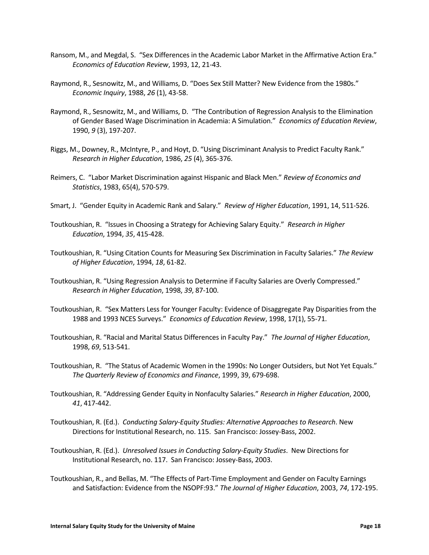- Ransom, M., and Megdal, S. "Sex Differences in the Academic Labor Market in the Affirmative Action Era." *Economics of Education Review*, 1993, 12, 21-43.
- Raymond, R., Sesnowitz, M., and Williams, D. "Does Sex Still Matter? New Evidence from the 1980s." *Economic Inquiry*, 1988, *26* (1), 43-58.
- Raymond, R., Sesnowitz, M., and Williams, D. "The Contribution of Regression Analysis to the Elimination of Gender Based Wage Discrimination in Academia: A Simulation." *Economics of Education Review*, 1990, *9* (3), 197-207.
- Riggs, M., Downey, R., McIntyre, P., and Hoyt, D. "Using Discriminant Analysis to Predict Faculty Rank." *Research in Higher Education*, 1986, *25* (4), 365-376.
- Reimers, C. "Labor Market Discrimination against Hispanic and Black Men." *Review of Economics and Statistics*, 1983, 65(4), 570-579.
- Smart, J. "Gender Equity in Academic Rank and Salary." *Review of Higher Education*, 1991, 14, 511-526.
- Toutkoushian, R. "Issues in Choosing a Strategy for Achieving Salary Equity." *Research in Higher Education*, 1994, *35*, 415-428.
- Toutkoushian, R. "Using Citation Counts for Measuring Sex Discrimination in Faculty Salaries." *The Review of Higher Education*, 1994, *18*, 61-82.
- Toutkoushian, R. "Using Regression Analysis to Determine if Faculty Salaries are Overly Compressed." *Research in Higher Education*, 1998, *39*, 87-100.
- Toutkoushian, R. "Sex Matters Less for Younger Faculty: Evidence of Disaggregate Pay Disparities from the 1988 and 1993 NCES Surveys." *Economics of Education Review*, 1998, 17(1), 55-71.
- Toutkoushian, R. "Racial and Marital Status Differences in Faculty Pay." *The Journal of Higher Education*, 1998, *69*, 513-541.
- Toutkoushian, R. "The Status of Academic Women in the 1990s: No Longer Outsiders, but Not Yet Equals." *The Quarterly Review of Economics and Finance*, 1999, 39, 679-698.
- Toutkoushian, R. "Addressing Gender Equity in Nonfaculty Salaries." *Research in Higher Education*, 2000, *41*, 417-442.
- Toutkoushian, R. (Ed.). *Conducting Salary-Equity Studies: Alternative Approaches to Research*. New Directions for Institutional Research, no. 115. San Francisco: Jossey-Bass, 2002.
- Toutkoushian, R. (Ed.). *Unresolved Issues in Conducting Salary-Equity Studies*. New Directions for Institutional Research, no. 117. San Francisco: Jossey-Bass, 2003.
- Toutkoushian, R., and Bellas, M. "The Effects of Part-Time Employment and Gender on Faculty Earnings and Satisfaction: Evidence from the NSOPF:93." *The Journal of Higher Education*, 2003, *74*, 172-195.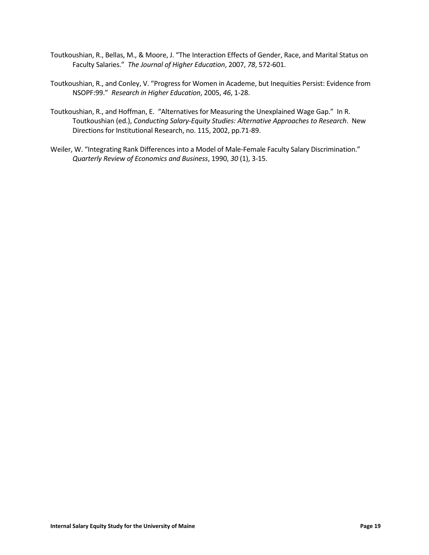- Toutkoushian, R., Bellas, M., & Moore, J. "The Interaction Effects of Gender, Race, and Marital Status on Faculty Salaries." *The Journal of Higher Education*, 2007, *78*, 572-601.
- Toutkoushian, R., and Conley, V. "Progress for Women in Academe, but Inequities Persist: Evidence from NSOPF:99." *Research in Higher Education*, 2005, *46*, 1-28.
- Toutkoushian, R., and Hoffman, E. "Alternatives for Measuring the Unexplained Wage Gap." In R. Toutkoushian (ed.), *Conducting Salary-Equity Studies: Alternative Approaches to Research*. New Directions for Institutional Research, no. 115, 2002, pp.71-89.
- Weiler, W. "Integrating Rank Differences into a Model of Male-Female Faculty Salary Discrimination." *Quarterly Review of Economics and Business*, 1990, *30* (1), 3-15.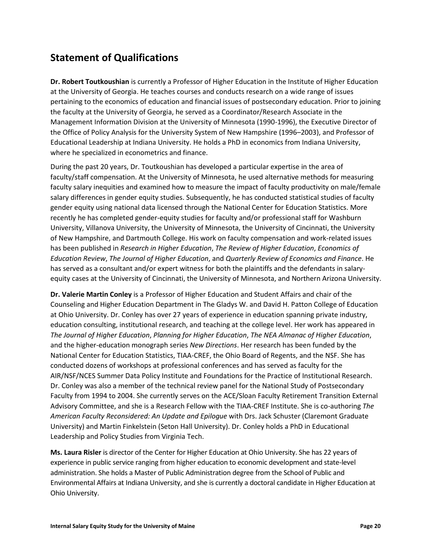#### <span id="page-21-0"></span>**Statement of Qualifications**

**Dr. Robert Toutkoushian** is currently a Professor of Higher Education in the Institute of Higher Education at the University of Georgia. He teaches courses and conducts research on a wide range of issues pertaining to the economics of education and financial issues of postsecondary education. Prior to joining the faculty at the University of Georgia, he served as a Coordinator/Research Associate in the Management Information Division at the University of Minnesota (1990-1996), the Executive Director of the Office of Policy Analysis for the University System of New Hampshire (1996–2003), and Professor of Educational Leadership at Indiana University. He holds a PhD in economics from Indiana University, where he specialized in econometrics and finance.

During the past 20 years, Dr. Toutkoushian has developed a particular expertise in the area of faculty/staff compensation. At the University of Minnesota, he used alternative methods for measuring faculty salary inequities and examined how to measure the impact of faculty productivity on male/female salary differences in gender equity studies. Subsequently, he has conducted statistical studies of faculty gender equity using national data licensed through the National Center for Education Statistics. More recently he has completed gender-equity studies for faculty and/or professional staff for Washburn University, Villanova University, the University of Minnesota, the University of Cincinnati, the University of New Hampshire, and Dartmouth College. His work on faculty compensation and work-related issues has been published in *Research in Higher Education*, *The Review of Higher Education*, *Economics of Education Review*, *The Journal of Higher Education*, and *Quarterly Review of Economics and Finance*. He has served as a consultant and/or expert witness for both the plaintiffs and the defendants in salaryequity cases at the University of Cincinnati, the University of Minnesota, and Northern Arizona University.

**Dr. Valerie Martin Conley** is a Professor of Higher Education and Student Affairs and chair of the Counseling and Higher Education Department in The Gladys W. and David H. Patton College of Education at Ohio University. Dr. Conley has over 27 years of experience in education spanning private industry, education consulting, institutional research, and teaching at the college level. Her work has appeared in *The Journal of Higher Education*, *Planning for Higher Education*, *The NEA Almanac of Higher Education*, and the higher-education monograph series *New Directions*. Her research has been funded by the National Center for Education Statistics, TIAA-CREF, the Ohio Board of Regents, and the NSF. She has conducted dozens of workshops at professional conferences and has served as faculty for the AIR/NSF/NCES Summer Data Policy Institute and Foundations for the Practice of Institutional Research. Dr. Conley was also a member of the technical review panel for the National Study of Postsecondary Faculty from 1994 to 2004. She currently serves on the ACE/Sloan Faculty Retirement Transition External Advisory Committee, and she is a Research Fellow with the TIAA-CREF Institute. She is co-authoring *The American Faculty Reconsidered: An Update and Epilogue* with Drs. Jack Schuster (Claremont Graduate University) and Martin Finkelstein (Seton Hall University). Dr. Conley holds a PhD in Educational Leadership and Policy Studies from Virginia Tech.

**Ms. Laura Risler** is director of the Center for Higher Education at Ohio University. She has 22 years of experience in public service ranging from higher education to economic development and state-level administration. She holds a Master of Public Administration degree from the School of Public and Environmental Affairs at Indiana University, and she is currently a doctoral candidate in Higher Education at Ohio University.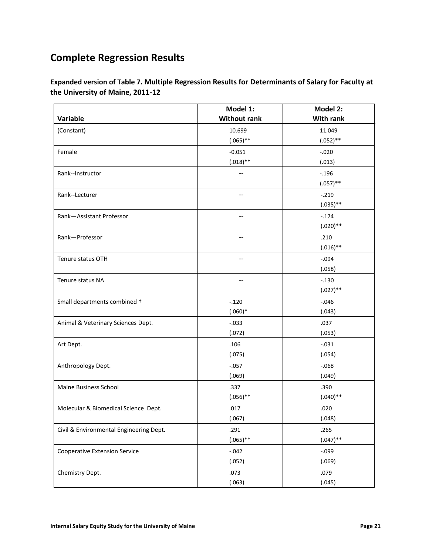## <span id="page-22-0"></span>**Complete Regression Results**

**Expanded version of Table 7. Multiple Regression Results for Determinants of Salary for Faculty at the University of Maine, 2011-12**

|                                         | Model 1:            | Model 2:         |
|-----------------------------------------|---------------------|------------------|
| Variable                                | <b>Without rank</b> | <b>With rank</b> |
| (Constant)                              | 10.699              | 11.049           |
|                                         | $(.065)$ **         | $(.052)**$       |
| Female                                  | $-0.051$            | $-.020$          |
|                                         | $(.018)$ **         | (.013)           |
| Rank--Instructor                        |                     | $-.196$          |
|                                         |                     | $(.057)$ **      |
| Rank--Lecturer                          | --                  | $-.219$          |
|                                         |                     | $(.035)$ **      |
| Rank-Assistant Professor                |                     | $-.174$          |
|                                         |                     | $(.020)$ **      |
| Rank-Professor                          | $-$                 | .210             |
|                                         |                     | $(.016)$ **      |
| Tenure status OTH                       |                     | $-.094$          |
|                                         |                     | (.058)           |
| Tenure status NA                        | --                  | $-.130$          |
|                                         |                     | $(.027)$ **      |
| Small departments combined +            | $-.120$             | $-.046$          |
|                                         | $(.060)*$           | (.043)           |
| Animal & Veterinary Sciences Dept.      | $-.033$             | .037             |
|                                         | (.072)              | (.053)           |
| Art Dept.                               | .106                | $-.031$          |
|                                         | (.075)              | (.054)           |
| Anthropology Dept.                      | $-.057$             | $-.068$          |
|                                         | (.069)              | (.049)           |
| <b>Maine Business School</b>            | .337                | .390             |
|                                         | $(.056)$ **         | $(.040)$ **      |
| Molecular & Biomedical Science Dept.    | .017                | .020             |
|                                         | (.067)              | (.048)           |
| Civil & Environmental Engineering Dept. | .291                | .265             |
|                                         | $(.065)$ **         | $(.047)$ **      |
| <b>Cooperative Extension Service</b>    | $-.042$             | $-.099$          |
|                                         | (.052)              | (.069)           |
|                                         |                     | .079             |
| Chemistry Dept.                         | .073<br>(.063)      | (.045)           |
|                                         |                     |                  |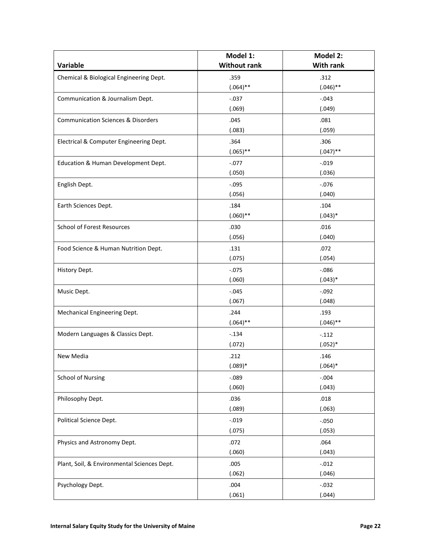|                                               | Model 1:            | Model 2:         |
|-----------------------------------------------|---------------------|------------------|
| Variable                                      | <b>Without rank</b> | <b>With rank</b> |
| Chemical & Biological Engineering Dept.       | .359                | .312             |
|                                               | $(.064)$ **         | $(.046)$ **      |
| Communication & Journalism Dept.              | $-.037$             | $-.043$          |
|                                               | (.069)              | (.049)           |
| <b>Communication Sciences &amp; Disorders</b> | .045                | .081             |
|                                               | (.083)              | (.059)           |
| Electrical & Computer Engineering Dept.       | .364                | .306             |
|                                               | $(.065)$ **         | $(.047)$ **      |
| Education & Human Development Dept.           | $-.077$             | $-.019$          |
|                                               | (.050)              | (.036)           |
| English Dept.                                 | $-.095$             | $-.076$          |
|                                               | (.056)              | (.040)           |
| Earth Sciences Dept.                          | .184                | .104             |
|                                               | $(.060)$ **         | $(.043)*$        |
| <b>School of Forest Resources</b>             | .030                | .016             |
|                                               | (.056)              | (.040)           |
| Food Science & Human Nutrition Dept.          | .131                | .072             |
|                                               | (.075)              | (.054)           |
| History Dept.                                 | $-.075$             | $-0.086$         |
|                                               | (.060)              | $(.043)*$        |
| Music Dept.                                   | $-.045$             | $-.092$          |
|                                               | (.067)              | (.048)           |
| Mechanical Engineering Dept.                  | .244                | .193             |
|                                               | $(.064)$ **         | $(.046)$ **      |
| Modern Languages & Classics Dept.             | $-.134$             | $-.112$          |
|                                               | (.072)              | $(.052)*$        |
| New Media                                     | .212                | .146             |
|                                               | $(.089)*$           | $(.064)*$        |
| <b>School of Nursing</b>                      | $-0.089$            | $-.004$          |
|                                               | (.060)              | (.043)           |
| Philosophy Dept.                              | .036                | .018             |
|                                               | (.089)              | (.063)           |
| Political Science Dept.                       | $-.019$             | $-.050$          |
|                                               | (.075)              | (.053)           |
| Physics and Astronomy Dept.                   | .072                | .064             |
|                                               | (.060)              | (.043)           |
| Plant, Soil, & Environmental Sciences Dept.   | .005                | $-.012$          |
|                                               | (.062)              | (.046)           |
| Psychology Dept.                              | .004                | $-.032$          |
|                                               | (.061)              | (.044)           |